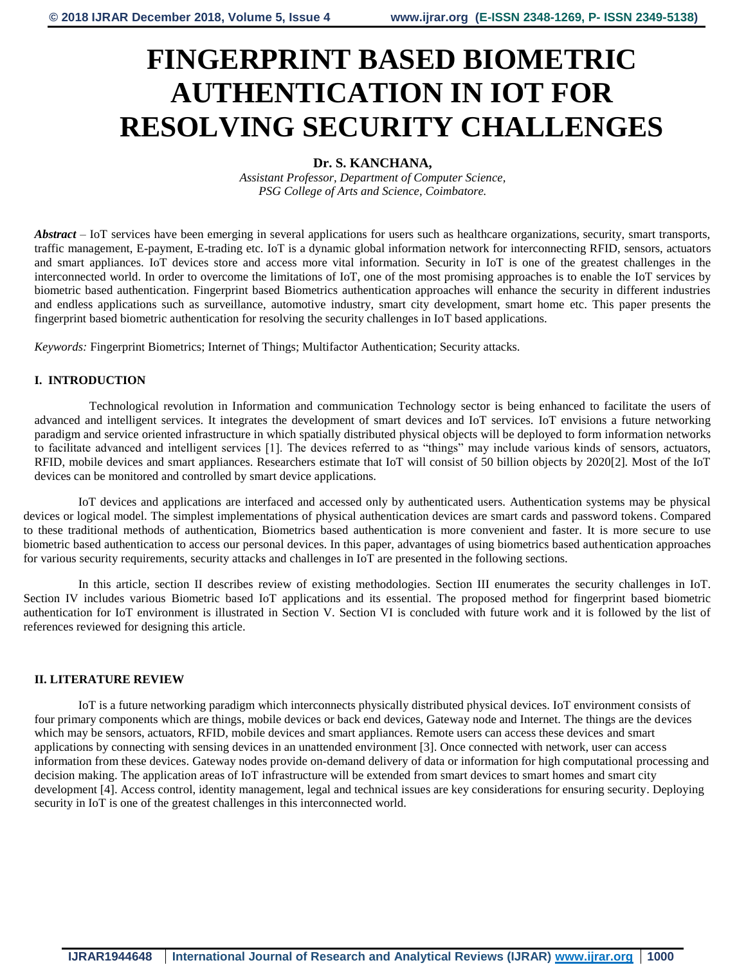# **FINGERPRINT BASED BIOMETRIC AUTHENTICATION IN IOT FOR RESOLVING SECURITY CHALLENGES**

# **Dr. S. KANCHANA,**

*Assistant Professor, Department of Computer Science, PSG College of Arts and Science, Coimbatore.*

*Abstract* – IoT services have been emerging in several applications for users such as healthcare organizations, security, smart transports, traffic management, E-payment, E-trading etc. IoT is a dynamic global information network for interconnecting RFID, sensors, actuators and smart appliances. IoT devices store and access more vital information. Security in IoT is one of the greatest challenges in the interconnected world. In order to overcome the limitations of IoT, one of the most promising approaches is to enable the IoT services by biometric based authentication. Fingerprint based Biometrics authentication approaches will enhance the security in different industries and endless applications such as surveillance, automotive industry, smart city development, smart home etc. This paper presents the fingerprint based biometric authentication for resolving the security challenges in IoT based applications.

*Keywords:* Fingerprint Biometrics; Internet of Things; Multifactor Authentication; Security attacks.

## **I. INTRODUCTION**

Technological revolution in Information and communication Technology sector is being enhanced to facilitate the users of advanced and intelligent services. It integrates the development of smart devices and IoT services. IoT envisions a future networking paradigm and service oriented infrastructure in which spatially distributed physical objects will be deployed to form information networks to facilitate advanced and intelligent services [1]. The devices referred to as "things" may include various kinds of sensors, actuators, RFID, mobile devices and smart appliances. Researchers estimate that IoT will consist of 50 billion objects by 2020[2]. Most of the IoT devices can be monitored and controlled by smart device applications.

IoT devices and applications are interfaced and accessed only by authenticated users. Authentication systems may be physical devices or logical model. The simplest implementations of physical authentication devices are smart cards and password tokens. Compared to these traditional methods of authentication, Biometrics based authentication is more convenient and faster. It is more secure to use biometric based authentication to access our personal devices. In this paper, advantages of using biometrics based authentication approaches for various security requirements, security attacks and challenges in IoT are presented in the following sections.

In this article, section II describes review of existing methodologies. Section III enumerates the security challenges in IoT. Section IV includes various Biometric based IoT applications and its essential. The proposed method for fingerprint based biometric authentication for IoT environment is illustrated in Section V. Section VI is concluded with future work and it is followed by the list of references reviewed for designing this article.

#### **II. LITERATURE REVIEW**

IoT is a future networking paradigm which interconnects physically distributed physical devices. IoT environment consists of four primary components which are things, mobile devices or back end devices, Gateway node and Internet. The things are the devices which may be sensors, actuators, RFID, mobile devices and smart appliances. Remote users can access these devices and smart applications by connecting with sensing devices in an unattended environment [3]. Once connected with network, user can access information from these devices. Gateway nodes provide on-demand delivery of data or information for high computational processing and decision making. The application areas of IoT infrastructure will be extended from smart devices to smart homes and smart city development [4]. Access control, identity management, legal and technical issues are key considerations for ensuring security. Deploying security in IoT is one of the greatest challenges in this interconnected world.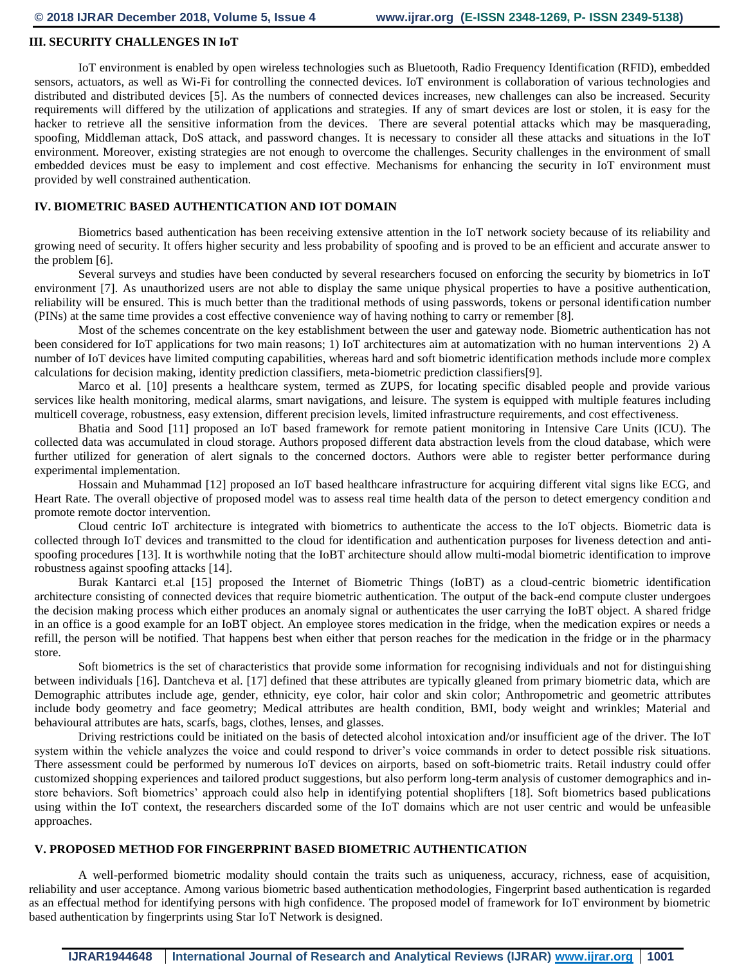#### **III. SECURITY CHALLENGES IN IoT**

IoT environment is enabled by open wireless technologies such as Bluetooth, Radio Frequency Identification (RFID), embedded sensors, actuators, as well as Wi-Fi for controlling the connected devices. IoT environment is collaboration of various technologies and distributed and distributed devices [5]. As the numbers of connected devices increases, new challenges can also be increased. Security requirements will differed by the utilization of applications and strategies. If any of smart devices are lost or stolen, it is easy for the hacker to retrieve all the sensitive information from the devices. There are several potential attacks which may be masquerading, spoofing, Middleman attack, DoS attack, and password changes. It is necessary to consider all these attacks and situations in the IoT environment. Moreover, existing strategies are not enough to overcome the challenges. Security challenges in the environment of small embedded devices must be easy to implement and cost effective. Mechanisms for enhancing the security in IoT environment must provided by well constrained authentication.

#### **IV. BIOMETRIC BASED AUTHENTICATION AND IOT DOMAIN**

Biometrics based authentication has been receiving extensive attention in the IoT network society because of its reliability and growing need of security. It offers higher security and less probability of spoofing and is proved to be an efficient and accurate answer to the problem [6].

Several surveys and studies have been conducted by several researchers focused on enforcing the security by biometrics in IoT environment [7]. As unauthorized users are not able to display the same unique physical properties to have a positive authentication, reliability will be ensured. This is much better than the traditional methods of using passwords, tokens or personal identification number (PINs) at the same time provides a cost effective convenience way of having nothing to carry or remember [8].

Most of the schemes concentrate on the key establishment between the user and gateway node. Biometric authentication has not been considered for IoT applications for two main reasons; 1) IoT architectures aim at automatization with no human interventions 2) A number of IoT devices have limited computing capabilities, whereas hard and soft biometric identification methods include more complex calculations for decision making, identity prediction classifiers, meta-biometric prediction classifiers[9].

Marco et al. [10] presents a healthcare system, termed as ZUPS, for locating specific disabled people and provide various services like health monitoring, medical alarms, smart navigations, and leisure. The system is equipped with multiple features including multicell coverage, robustness, easy extension, different precision levels, limited infrastructure requirements, and cost effectiveness.

Bhatia and Sood [11] proposed an IoT based framework for remote patient monitoring in Intensive Care Units (ICU). The collected data was accumulated in cloud storage. Authors proposed different data abstraction levels from the cloud database, which were further utilized for generation of alert signals to the concerned doctors. Authors were able to register better performance during experimental implementation.

Hossain and Muhammad [12] proposed an IoT based healthcare infrastructure for acquiring different vital signs like ECG, and Heart Rate. The overall objective of proposed model was to assess real time health data of the person to detect emergency condition and promote remote doctor intervention.

Cloud centric IoT architecture is integrated with biometrics to authenticate the access to the IoT objects. Biometric data is collected through IoT devices and transmitted to the cloud for identification and authentication purposes for liveness detection and antispoofing procedures [13]. It is worthwhile noting that the IoBT architecture should allow multi-modal biometric identification to improve robustness against spoofing attacks [14].

Burak Kantarci et.al [15] proposed the Internet of Biometric Things (IoBT) as a cloud-centric biometric identification architecture consisting of connected devices that require biometric authentication. The output of the back-end compute cluster undergoes the decision making process which either produces an anomaly signal or authenticates the user carrying the IoBT object. A shared fridge in an office is a good example for an IoBT object. An employee stores medication in the fridge, when the medication expires or needs a refill, the person will be notified. That happens best when either that person reaches for the medication in the fridge or in the pharmacy store.

Soft biometrics is the set of characteristics that provide some information for recognising individuals and not for distinguishing between individuals [16]. Dantcheva et al. [17] defined that these attributes are typically gleaned from primary biometric data, which are Demographic attributes include age, gender, ethnicity, eye color, hair color and skin color; Anthropometric and geometric attributes include body geometry and face geometry; Medical attributes are health condition, BMI, body weight and wrinkles; Material and behavioural attributes are hats, scarfs, bags, clothes, lenses, and glasses.

Driving restrictions could be initiated on the basis of detected alcohol intoxication and/or insufficient age of the driver. The IoT system within the vehicle analyzes the voice and could respond to driver's voice commands in order to detect possible risk situations. There assessment could be performed by numerous IoT devices on airports, based on soft-biometric traits. Retail industry could offer customized shopping experiences and tailored product suggestions, but also perform long-term analysis of customer demographics and instore behaviors. Soft biometrics' approach could also help in identifying potential shoplifters [18]. Soft biometrics based publications using within the IoT context, the researchers discarded some of the IoT domains which are not user centric and would be unfeasible approaches.

#### **V. PROPOSED METHOD FOR FINGERPRINT BASED BIOMETRIC AUTHENTICATION**

A well-performed biometric modality should contain the traits such as uniqueness, accuracy, richness, ease of acquisition, reliability and user acceptance. Among various biometric based authentication methodologies, Fingerprint based authentication is regarded as an effectual method for identifying persons with high confidence. The proposed model of framework for IoT environment by biometric based authentication by fingerprints using Star IoT Network is designed.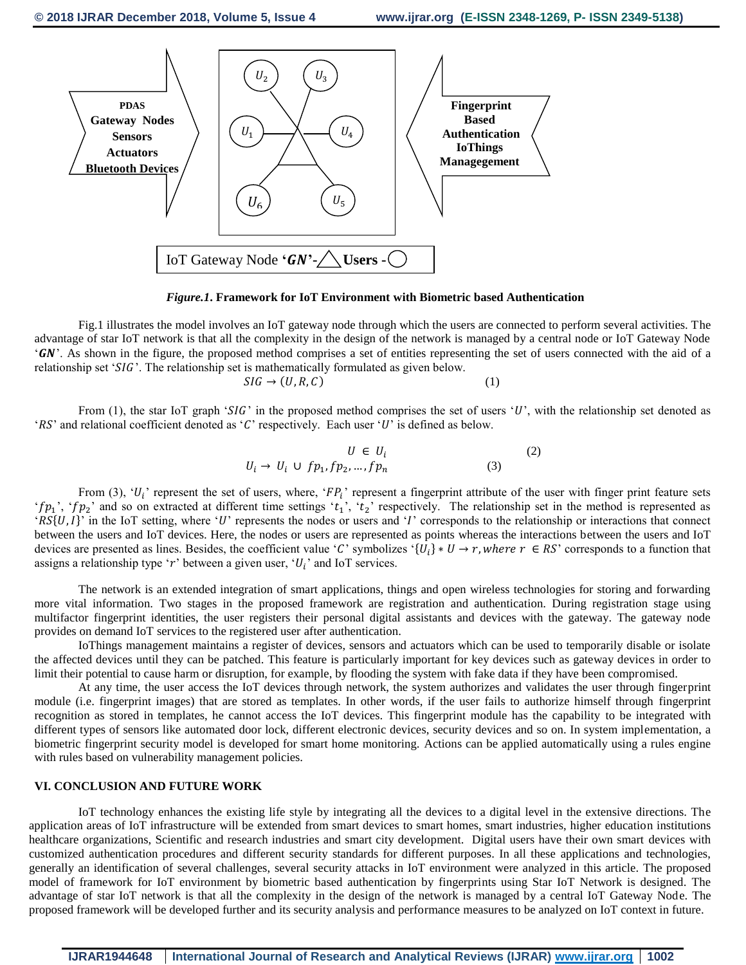

*Figure.1***. Framework for IoT Environment with Biometric based Authentication**

Fig.1 illustrates the model involves an IoT gateway node through which the users are connected to perform several activities. The advantage of star IoT network is that all the complexity in the design of the network is managed by a central node or IoT Gateway Node  $'GN'$ . As shown in the figure, the proposed method comprises a set of entities representing the set of users connected with the aid of a relationship set ' $SIG$ '. The relationship set is mathematically formulated as given below.

 $SIG \rightarrow (U, R, C)$  (1)

From (1), the star IoT graph 'SIG' in the proposed method comprises the set of users 'U', with the relationship set denoted as ' $RS'$  and relational coefficient denoted as 'C' respectively. Each user 'U' is defined as below.

$$
U \in U_i
$$
  
\n
$$
U_i \rightarrow U_i \cup fp_1, fp_2, ..., fp_n
$$
 (2)

From (3), ' $U_i$ ' represent the set of users, where, ' $FP_i$ ' represent a fingerprint attribute of the user with finger print feature sets 'f $p_1$ ', 'f $p_2$ ' and so on extracted at different time settings ' $t_1$ ', ' $t_2$ ' respectively. The relationship set in the method is represented as ' $RS\{U, I\}'$  in the IoT setting, where 'U' represents the nodes or users and 'I' corresponds to the relationship or interactions that connect between the users and IoT devices. Here, the nodes or users are represented as points whereas the interactions between the users and IoT devices are presented as lines. Besides, the coefficient value 'C' symbolizes ' $\{U_i\}*U \to r$ , where  $r \in RS$ ' corresponds to a function that assigns a relationship type 'r' between a given user, ' $U_i$ ' and IoT services.

The network is an extended integration of smart applications, things and open wireless technologies for storing and forwarding more vital information. Two stages in the proposed framework are registration and authentication. During registration stage using multifactor fingerprint identities, the user registers their personal digital assistants and devices with the gateway. The gateway node provides on demand IoT services to the registered user after authentication.

IoThings management maintains a register of devices, sensors and actuators which can be used to temporarily disable or isolate the affected devices until they can be patched. This feature is particularly important for key devices such as gateway devices in order to limit their potential to cause harm or disruption, for example, by flooding the system with fake data if they have been compromised.

At any time, the user access the IoT devices through network, the system authorizes and validates the user through fingerprint module (i.e. fingerprint images) that are stored as templates. In other words, if the user fails to authorize himself through fingerprint recognition as stored in templates, he cannot access the IoT devices. This fingerprint module has the capability to be integrated with different types of sensors like automated door lock, different electronic devices, security devices and so on. In system implementation, a biometric fingerprint security model is developed for smart home monitoring. Actions can be applied automatically using a rules engine with rules based on vulnerability management policies.

### **VI. CONCLUSION AND FUTURE WORK**

IoT technology enhances the existing life style by integrating all the devices to a digital level in the extensive directions. The application areas of IoT infrastructure will be extended from smart devices to smart homes, smart industries, higher education institutions healthcare organizations, Scientific and research industries and smart city development. Digital users have their own smart devices with customized authentication procedures and different security standards for different purposes. In all these applications and technologies, generally an identification of several challenges, several security attacks in IoT environment were analyzed in this article. The proposed model of framework for IoT environment by biometric based authentication by fingerprints using Star IoT Network is designed. The advantage of star IoT network is that all the complexity in the design of the network is managed by a central IoT Gateway Node. The proposed framework will be developed further and its security analysis and performance measures to be analyzed on IoT context in future.